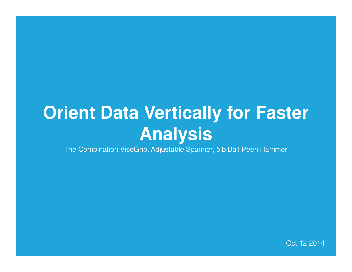# **Orient Data Vertically for Faster Analysis**

The Combination ViseGrip, Adjustable Spanner, 5lb Ball Peen Hammer

Oct 12 2014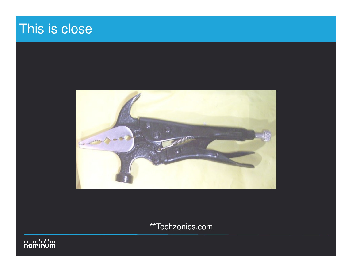# This is close



\*\*Techzonics.com

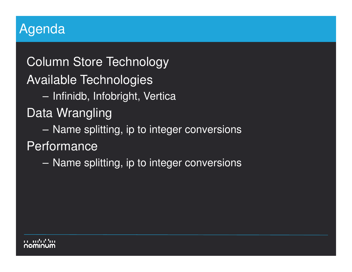### Agenda

Column Store TechnologyAvailable Technologies $\sim$  Infinidb, Infobright, VerticaData Wrangling– Name splitting, ip to integer conversions**Performance**  $\mathcal{L}_{\mathcal{A}}$ Name splitting, ip to integer conversions

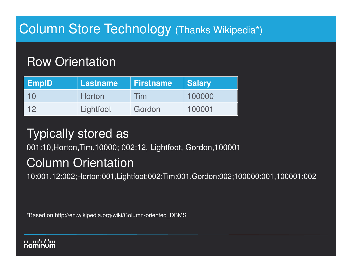# Column Store Technology (Thanks Wikipedia\*)

### Row Orientation

| <b>EmpID</b>   | Lastname  | <b>Firstname</b> | <b>Salary</b> |
|----------------|-----------|------------------|---------------|
| 10             | Horton    | <b>Tim</b>       | 100000        |
| $\overline{1}$ | Lightfoot | Gordon           | 100001        |

## Typically stored as

001:10,Horton,Tim,10000; 002:12, Lightfoot, Gordon,100001

### Column Orientation

10:001,12:002;Horton:001,Lightfoot:002;Tim:001,Gordon:002;100000:001,100001:002

\*Based on http://en.wikipedia.org/wiki/Column-oriented\_DBMS

#### an ma'an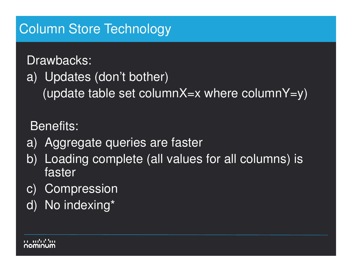## Column Store Technology

Drawbacks:a) Updates (don't bother)

(update table set columnX=x where columnY=y)

Benefits:

- a) Aggregate queries are faster
- b) Loading complete (all values for all columns) is faster
- c) Compression
- d) No indexing\*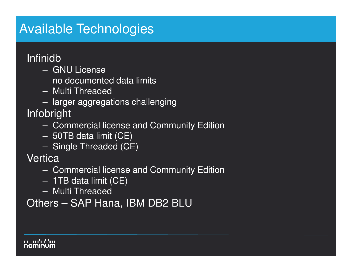## Available Technologies

#### Infinidb

- –GNU License
- $-$  no documen no documented data limits
- Multi Threaded
- Ierner ennren: larger aggregations challenging

#### Infobright

- Commercial license and Community Edition
- 50TB data limit (CE)
- Single Threaded (CE)

#### **Vertica**

- –Commercial license and Community Edition
- 1TB data limit (CE)
- Multi Threaded

Others – SAP Hana, IBM DB2 BLU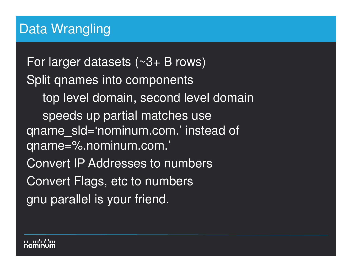## Data Wrangling

For larger datasets  $($   $\sim$ 3+ B rows) Split qnames into components top level domain, second level domainspeeds up partial matches use qname\_sld='nominum.com.' instead of qname=%.nominum.com.'Convert IP Addresses to numbersConvert Flags, etc to numbers gnu parallel is your friend.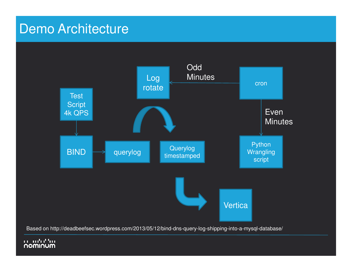### Demo Architecture



Based on http://deadbeefsec.wordpress.com/2013/05/12/bind-dns-query-log-shipping-into-a-mysql-database/

#### יין יהיה יה<br>**WUMMON**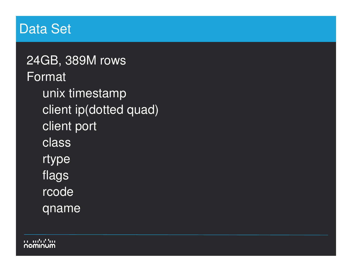### Data Set

24GB, 389M rowsFormatunix timestamp client ip(dotted quad)client portclassrtype flags rcodeqname

an an'ny fari **NOWIUUW**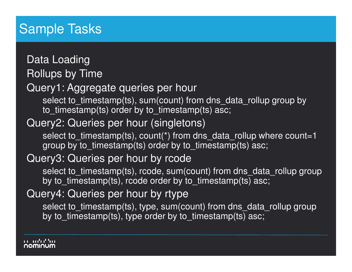# Sample Tasks

Data Loading Rollups by Time Query1: Aggregate queries per hourselect to\_timestamp(ts), sum(count) from dns\_data\_rollup group by to\_timestamp(ts) order by to\_timestamp(ts) asc;Query2: Queries per hour (singletons)select to timestamp(ts), count(\*) from dns data rollup where count=1 group by to\_timestamp(ts) order by to\_timestamp(ts) asc; Query3: Queries per hour by rcode select to\_timestamp(ts), rcode, sum(count) from dns\_data\_rollup group by to\_timestamp(ts), rcode order by to\_timestamp(ts) asc; Query4: Queries per hour by rtype select to\_timestamp(ts), type, sum(count) from dns\_data\_rollup group by to\_timestamp(ts), type order by to\_timestamp(ts) asc;

an andrathan nominum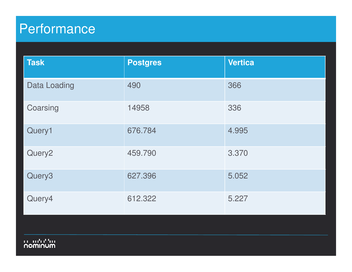# Performance

יין ייטרייט<br>מטחומסה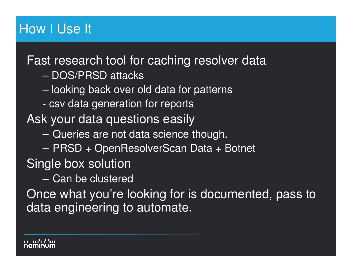# How I Use It

Fast research tool for caching resolver data

- –DOS/PRSD attacks
- $\sim$ looking back over old data for patterns
- csv data generation for reports

Ask your data questions easily

- –Queries are not data science though.
- $\sim$ PRSD + OpenResolverScan Data + Botnet

Single box solution

 $\mathcal{L}_{\mathcal{A}}$ Can be clustered

 Once what you're looking for is documented, pass todata engineering to automate.